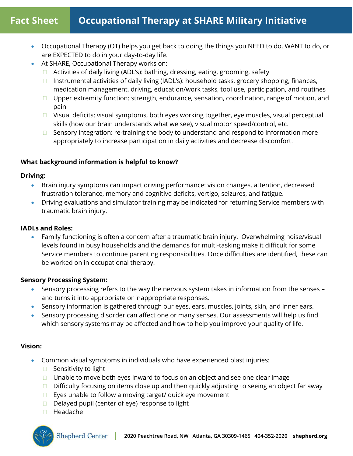# **Fact Sheet Occupational Therapy at SHARE Military Initiative**

- Occupational Therapy (OT) helps you get back to doing the things you NEED to do, WANT to do, or are EXPECTED to do in your day-to-day life.
	- At SHARE, Occupational Therapy works on:
		- □ Activities of daily living (ADL's): bathing, dressing, eating, grooming, safety
		- $\Box$  Instrumental activities of daily living (IADL's): household tasks, grocery shopping, finances, medication management, driving, education/work tasks, tool use, participation, and routines
		- □ Upper extremity function: strength, endurance, sensation, coordination, range of motion, and pain
		- $\Box$  Visual deficits: visual symptoms, both eyes working together, eye muscles, visual perceptual skills (how our brain understands what we see), visual motor speed/control, etc.
		- $\Box$  Sensory integration: re-training the body to understand and respond to information more appropriately to increase participation in daily activities and decrease discomfort.

# **What background information is helpful to know?**

## **Driving:**

- Brain injury symptoms can impact driving performance: vision changes, attention, decreased frustration tolerance, memory and cognitive deficits, vertigo, seizures, and fatigue.
- Driving evaluations and simulator training may be indicated for returning Service members with traumatic brain injury.

## **IADLs and Roles:**

• Family functioning is often a concern after a traumatic brain injury. Overwhelming noise/visual levels found in busy households and the demands for multi-tasking make it difficult for some Service members to continue parenting responsibilities. Once difficulties are identified, these can be worked on in occupational therapy.

### **Sensory Processing System:**

- Sensory processing refers to the way the nervous system takes in information from the senses and turns it into appropriate or inappropriate responses.
- Sensory information is gathered through our eyes, ears, muscles, joints, skin, and inner ears.
- Sensory processing disorder can affect one or many senses. Our assessments will help us find which sensory systems may be affected and how to help you improve your quality of life.

# **Vision:**

- Common visual symptoms in individuals who have experienced blast injuries:
	- □ Sensitivity to light
	- $\Box$  Unable to move both eyes inward to focus on an object and see one clear image
	- $\Box$  Difficulty focusing on items close up and then quickly adjusting to seeing an object far away
	- $\Box$  Eyes unable to follow a moving target/ quick eye movement
	- Delayed pupil (center of eye) response to light
	- □ Headache